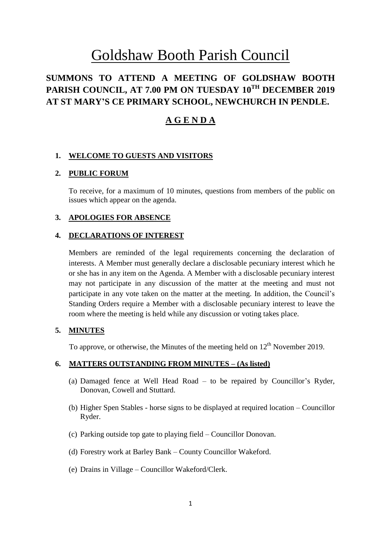# Goldshaw Booth Parish Council

# **SUMMONS TO ATTEND A MEETING OF GOLDSHAW BOOTH PARISH COUNCIL, AT 7.00 PM ON TUESDAY 10 TH DECEMBER 2019 AT ST MARY'S CE PRIMARY SCHOOL, NEWCHURCH IN PENDLE.**

# **A G E N D A**

# **1. WELCOME TO GUESTS AND VISITORS**

#### **2. PUBLIC FORUM**

To receive, for a maximum of 10 minutes, questions from members of the public on issues which appear on the agenda.

#### **3. APOLOGIES FOR ABSENCE**

#### **4. DECLARATIONS OF INTEREST**

Members are reminded of the legal requirements concerning the declaration of interests. A Member must generally declare a disclosable pecuniary interest which he or she has in any item on the Agenda. A Member with a disclosable pecuniary interest may not participate in any discussion of the matter at the meeting and must not participate in any vote taken on the matter at the meeting. In addition, the Council's Standing Orders require a Member with a disclosable pecuniary interest to leave the room where the meeting is held while any discussion or voting takes place.

#### **5. MINUTES**

To approve, or otherwise, the Minutes of the meeting held on  $12<sup>th</sup>$  November 2019.

#### **6. MATTERS OUTSTANDING FROM MINUTES – (As listed)**

- (a) Damaged fence at Well Head Road to be repaired by Councillor's Ryder, Donovan, Cowell and Stuttard.
- (b) Higher Spen Stables horse signs to be displayed at required location Councillor Ryder.
- (c) Parking outside top gate to playing field Councillor Donovan.
- (d) Forestry work at Barley Bank County Councillor Wakeford.
- (e) Drains in Village Councillor Wakeford/Clerk.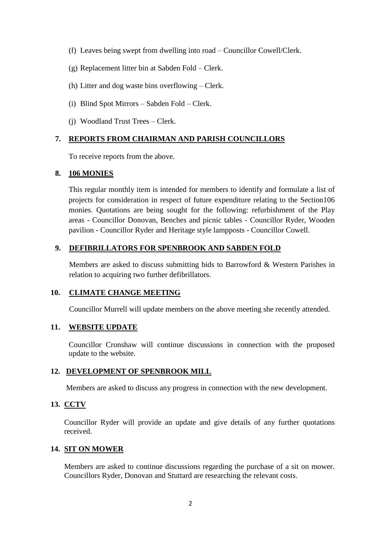- (f) Leaves being swept from dwelling into road Councillor Cowell/Clerk.
- (g) Replacement litter bin at Sabden Fold Clerk.
- (h) Litter and dog waste bins overflowing Clerk.
- (i) Blind Spot Mirrors Sabden Fold Clerk.
- (j) Woodland Trust Trees Clerk.

#### **7. REPORTS FROM CHAIRMAN AND PARISH COUNCILLORS**

To receive reports from the above.

#### **8. 106 MONIES**

This regular monthly item is intended for members to identify and formulate a list of projects for consideration in respect of future expenditure relating to the Section106 monies. Quotations are being sought for the following: refurbishment of the Play areas - Councillor Donovan, Benches and picnic tables - Councillor Ryder, Wooden pavilion - Councillor Ryder and Heritage style lampposts - Councillor Cowell.

# **9. DEFIBRILLATORS FOR SPENBROOK AND SABDEN FOLD**

Members are asked to discuss submitting bids to Barrowford & Western Parishes in relation to acquiring two further defibrillators.

# **10. CLIMATE CHANGE MEETING**

Councillor Murrell will update members on the above meeting she recently attended.

# **11. WEBSITE UPDATE**

Councillor Cronshaw will continue discussions in connection with the proposed update to the website.

# **12. DEVELOPMENT OF SPENBROOK MILL**

Members are asked to discuss any progress in connection with the new development.

# **13. CCTV**

Councillor Ryder will provide an update and give details of any further quotations received.

#### **14. SIT ON MOWER**

Members are asked to continue discussions regarding the purchase of a sit on mower. Councillors Ryder, Donovan and Stuttard are researching the relevant costs.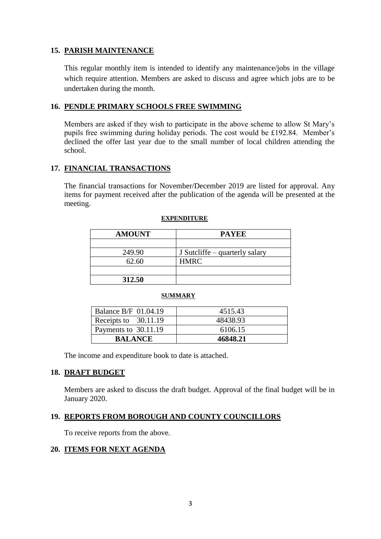# **15. PARISH MAINTENANCE**

This regular monthly item is intended to identify any maintenance/jobs in the village which require attention. Members are asked to discuss and agree which jobs are to be undertaken during the month.

# **16. PENDLE PRIMARY SCHOOLS FREE SWIMMING**

Members are asked if they wish to participate in the above scheme to allow St Mary's pupils free swimming during holiday periods. The cost would be £192.84. Member's declined the offer last year due to the small number of local children attending the school.

# **17. FINANCIAL TRANSACTIONS**

The financial transactions for November/December 2019 are listed for approval. Any items for payment received after the publication of the agenda will be presented at the meeting.

| <b>AMOUNT</b> | <b>PAYEE</b>                   |
|---------------|--------------------------------|
|               |                                |
| 249.90        | J Sutcliffe – quarterly salary |
| 62.60         | <b>HMRC</b>                    |
|               |                                |
| 312.50        |                                |

#### **EXPENDITURE**

#### **SUMMARY**

| <b>Balance B/F 01.04.19</b> | 4515.43  |
|-----------------------------|----------|
| Receipts to 30.11.19        | 48438.93 |
| Payments to 30.11.19        | 6106.15  |
| <b>BALANCE</b>              | 46848.21 |

The income and expenditure book to date is attached.

#### **18. DRAFT BUDGET**

Members are asked to discuss the draft budget. Approval of the final budget will be in January 2020.

# **19. REPORTS FROM BOROUGH AND COUNTY COUNCILLORS**

To receive reports from the above.

#### **20. ITEMS FOR NEXT AGENDA**